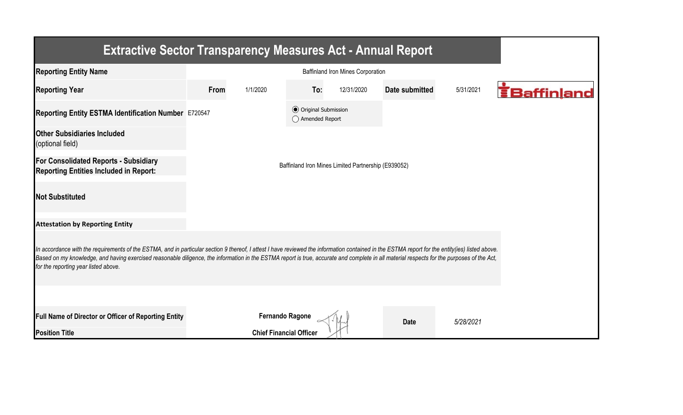| <b>Extractive Sector Transparency Measures Act - Annual Report</b>                                                                                                                                                                                                                                                                                                                                                                    |                                                     |                                |                                                  |            |                |           |                    |  |  |  |  |
|---------------------------------------------------------------------------------------------------------------------------------------------------------------------------------------------------------------------------------------------------------------------------------------------------------------------------------------------------------------------------------------------------------------------------------------|-----------------------------------------------------|--------------------------------|--------------------------------------------------|------------|----------------|-----------|--------------------|--|--|--|--|
| <b>Reporting Entity Name</b>                                                                                                                                                                                                                                                                                                                                                                                                          |                                                     |                                |                                                  |            |                |           |                    |  |  |  |  |
| <b>Reporting Year</b>                                                                                                                                                                                                                                                                                                                                                                                                                 | From                                                | 1/1/2020                       | To:                                              | 12/31/2020 | Date submitted | 5/31/2021 | <b>EBaffinland</b> |  |  |  |  |
| Reporting Entity ESTMA Identification Number E720547                                                                                                                                                                                                                                                                                                                                                                                  |                                                     |                                | <b>◎</b> Original Submission<br>◯ Amended Report |            |                |           |                    |  |  |  |  |
| <b>Other Subsidiaries Included</b><br>(optional field)                                                                                                                                                                                                                                                                                                                                                                                |                                                     |                                |                                                  |            |                |           |                    |  |  |  |  |
| <b>For Consolidated Reports - Subsidiary</b><br><b>Reporting Entities Included in Report:</b>                                                                                                                                                                                                                                                                                                                                         | Baffinland Iron Mines Limited Partnership (E939052) |                                |                                                  |            |                |           |                    |  |  |  |  |
| <b>Not Substituted</b>                                                                                                                                                                                                                                                                                                                                                                                                                |                                                     |                                |                                                  |            |                |           |                    |  |  |  |  |
| <b>Attestation by Reporting Entity</b>                                                                                                                                                                                                                                                                                                                                                                                                |                                                     |                                |                                                  |            |                |           |                    |  |  |  |  |
| In accordance with the requirements of the ESTMA, and in particular section 9 thereof, I attest I have reviewed the information contained in the ESTMA report for the entity(ies) listed above.<br>Based on my knowledge, and having exercised reasonable diligence, the information in the ESTMA report is true, accurate and complete in all material respects for the purposes of the Act,<br>for the reporting year listed above. |                                                     |                                |                                                  |            |                |           |                    |  |  |  |  |
|                                                                                                                                                                                                                                                                                                                                                                                                                                       |                                                     |                                |                                                  |            |                |           |                    |  |  |  |  |
| Full Name of Director or Officer of Reporting Entity                                                                                                                                                                                                                                                                                                                                                                                  |                                                     | <b>Fernando Ragone</b>         |                                                  |            | <b>Date</b>    | 5/28/2021 |                    |  |  |  |  |
| <b>Position Title</b>                                                                                                                                                                                                                                                                                                                                                                                                                 |                                                     | <b>Chief Financial Officer</b> |                                                  |            |                |           |                    |  |  |  |  |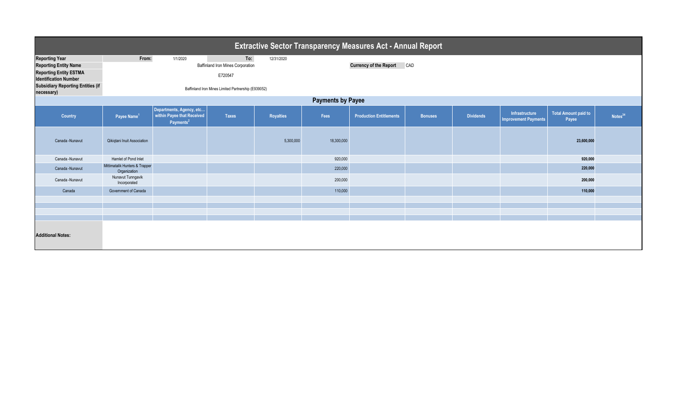| <b>Extractive Sector Transparency Measures Act - Annual Report</b> |                                                     |                                                                                 |              |            |                                      |                                |                |                  |                                               |                                      |                     |  |
|--------------------------------------------------------------------|-----------------------------------------------------|---------------------------------------------------------------------------------|--------------|------------|--------------------------------------|--------------------------------|----------------|------------------|-----------------------------------------------|--------------------------------------|---------------------|--|
| <b>Reporting Year</b>                                              | From:                                               | 1/1/2020                                                                        | To:          | 12/31/2020 |                                      |                                |                |                  |                                               |                                      |                     |  |
| <b>Reporting Entity Name</b>                                       | <b>Baffinland Iron Mines Corporation</b>            |                                                                                 |              |            | <b>Currency of the Report</b><br>CAD |                                |                |                  |                                               |                                      |                     |  |
| <b>Reporting Entity ESTMA</b><br><b>Identification Number</b>      |                                                     |                                                                                 | E720547      |            |                                      |                                |                |                  |                                               |                                      |                     |  |
| <b>Subsidiary Reporting Entities (if</b><br>necessary)             | Baffinland Iron Mines Limited Partnership (E939052) |                                                                                 |              |            |                                      |                                |                |                  |                                               |                                      |                     |  |
| <b>Payments by Payee</b>                                           |                                                     |                                                                                 |              |            |                                      |                                |                |                  |                                               |                                      |                     |  |
| Country                                                            | Payee Name <sup>1</sup>                             | Departments, Agency, etc<br>within Payee that Received<br>Payments <sup>2</sup> | <b>Taxes</b> | Royalties  | Fees                                 | <b>Production Entitlements</b> | <b>Bonuses</b> | <b>Dividends</b> | Infrastructure<br><b>Improvement Payments</b> | <b>Total Amount paid to</b><br>Payee | Notes <sup>34</sup> |  |
| Canada -Nunavut                                                    | Qikiqtani Inuit Association                         |                                                                                 |              | 5,300,000  | 18,300,000                           |                                |                |                  |                                               | 23,600,000                           |                     |  |
| Canada -Nunavut                                                    | Hamlet of Pond Inlet                                |                                                                                 |              |            | 920,000                              |                                |                |                  |                                               | 920,000                              |                     |  |
| Canada -Nunavut                                                    | Mittimatalik Hunters & Trapper<br>Organization      |                                                                                 |              |            | 220,000                              |                                |                |                  |                                               | 220,000                              |                     |  |
| Canada -Nunavut                                                    | Nunavut Tunngavik<br>Incorporated                   |                                                                                 |              |            | 200,000                              |                                |                |                  |                                               | 200,000                              |                     |  |
| Canada                                                             | Government of Canada                                |                                                                                 |              |            | 110,000                              |                                |                |                  |                                               | 110,000                              |                     |  |
|                                                                    |                                                     |                                                                                 |              |            |                                      |                                |                |                  |                                               |                                      |                     |  |
|                                                                    |                                                     |                                                                                 |              |            |                                      |                                |                |                  |                                               |                                      |                     |  |
|                                                                    |                                                     |                                                                                 |              |            |                                      |                                |                |                  |                                               |                                      |                     |  |
| <b>Additional Notes:</b>                                           |                                                     |                                                                                 |              |            |                                      |                                |                |                  |                                               |                                      |                     |  |